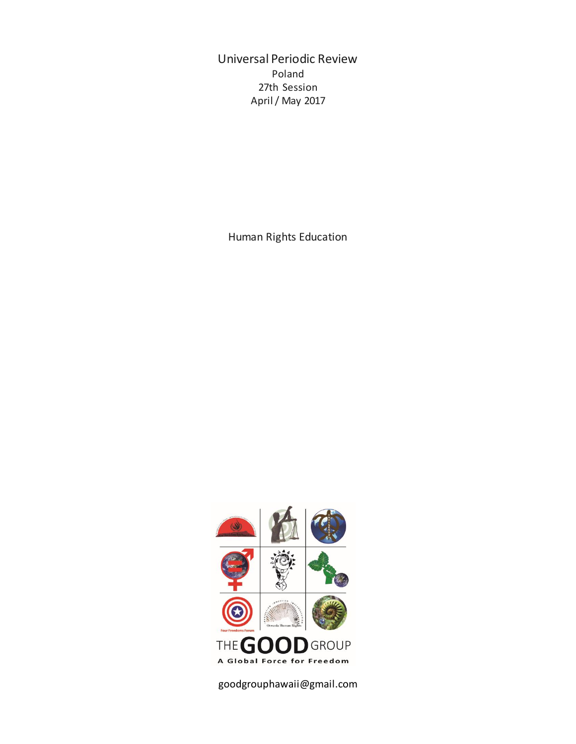Universal Periodic Review Poland 27th Session April / May 2017

Human Rights Education



goodgrouphawaii@gmail.com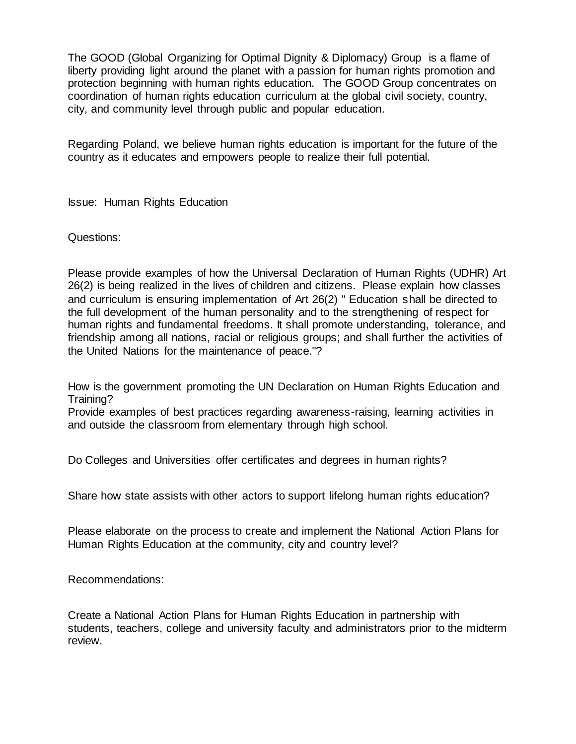The GOOD (Global Organizing for Optimal Dignity & Diplomacy) Group is a flame of liberty providing light around the planet with a passion for human rights promotion and protection beginning with human rights education. The GOOD Group concentrates on coordination of human rights education curriculum at the global civil society, country, city, and community level through public and popular education.

Regarding Poland, we believe human rights education is important for the future of the country as it educates and empowers people to realize their full potential.

Issue: Human Rights Education

Questions:

Please provide examples of how the Universal Declaration of Human Rights (UDHR) Art 26(2) is being realized in the lives of children and citizens. Please explain how classes and curriculum is ensuring implementation of Art 26(2) " Education shall be directed to the full development of the human personality and to the strengthening of respect for human rights and fundamental freedoms. It shall promote understanding, tolerance, and friendship among all nations, racial or religious groups; and shall further the activities of the United Nations for the maintenance of peace."?

How is the government promoting the UN Declaration on Human Rights Education and Training?

Provide examples of best practices regarding awareness-raising, learning activities in and outside the classroom from elementary through high school.

Do Colleges and Universities offer certificates and degrees in human rights?

Share how state assists with other actors to support lifelong human rights education?

Please elaborate on the process to create and implement the National Action Plans for Human Rights Education at the community, city and country level?

Recommendations:

Create a National Action Plans for Human Rights Education in partnership with students, teachers, college and university faculty and administrators prior to the midterm review.